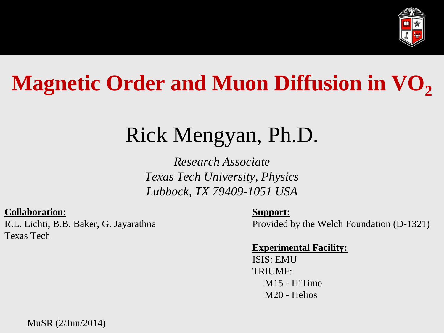

# **Magnetic Order and Muon Diffusion in VO<sup>2</sup>**

## Rick Mengyan, Ph.D.

*Research Associate Texas Tech University, Physics Lubbock, TX 79409-1051 USA*

#### **Collaboration**:

R.L. Lichti, B.B. Baker, G. Jayarathna Texas Tech

#### **Support:**

Provided by the Welch Foundation (D-1321)

#### **Experimental Facility:**

ISIS: EMU TRIUMF: M15 - HiTime M20 - Helios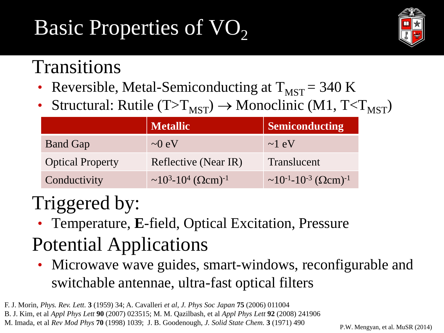# Basic Properties of VO<sub>2</sub>



### Transitions

- Reversible, Metal-Semiconducting at  $T_{MST}$  = 340 K
- Structural: Rutile  $(T>T_{MST}) \rightarrow Monoclinic (M1, T$

|                         | <b>Metallic</b>                                                      | <b>Semiconducting</b>                                                  |
|-------------------------|----------------------------------------------------------------------|------------------------------------------------------------------------|
| <b>Band Gap</b>         | $\sim 0$ eV                                                          | $\sim$ 1 eV                                                            |
| <b>Optical Property</b> | Reflective (Near IR)                                                 | Translucent                                                            |
| Conductivity            | $\sim$ 10 <sup>3</sup> -10 <sup>4</sup> ( $\Omega$ cm) <sup>-1</sup> | $\sim$ 10 <sup>-1</sup> -10 <sup>-3</sup> ( $\Omega$ cm) <sup>-1</sup> |

### Triggered by:

• Temperature, **E**-field, Optical Excitation, Pressure

### Potential Applications

• Microwave wave guides, smart-windows, reconfigurable and switchable antennae, ultra-fast optical filters

F. J. Morin, *Phys. Rev. Lett.* **3** (1959) 34; A. Cavalleri *et al*, *J. Phys Soc Japan* **75** (2006) 011004 B. J. Kim, et al *Appl Phys Lett* **90** (2007) 023515; M. M. Qazilbash, et al *Appl Phys Lett* **92** (2008) 241906 M. Imada, et al *Rev Mod Phys* **70** (1998) 1039; J. B. Goodenough, *J. Solid State Chem.* **3** (1971) 490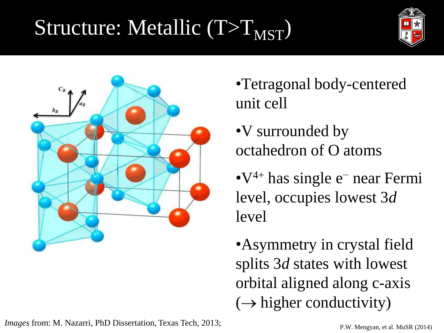# Structure: Metallic  $(T>T<sub>MST</sub>)$





- •Tetragonal body-centered unit cell
- •V surrounded by octahedron of O atoms
- •V4+ has single e<sup>−</sup> near Fermi level, occupies lowest 3*d* level
- •Asymmetry in crystal field splits 3*d* states with lowest orbital aligned along c-axis  $(\rightarrow$  higher conductivity)

*Images* from: M. Nazarri, PhD Dissertation, Texas Tech, 2013;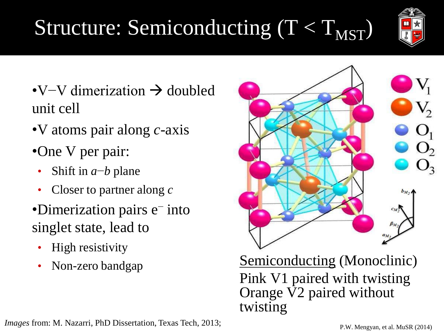### •V atoms pair along *c*-axis

•One V per pair:

unit cell

- Shift in *a*−*b* plane
- Closer to partner along *c*
- •Dimerization pairs e<sup>−</sup> into singlet state, lead to

•V–V dimerization  $\rightarrow$  doubled

- High resistivity
- 

# Structure: Semiconducting  $(T < T_{MST})$

Non-zero bandgap Semiconducting (Monoclinic)

Pink V1 paired with twisting Orange  $\nabla^2$  paired without twisting

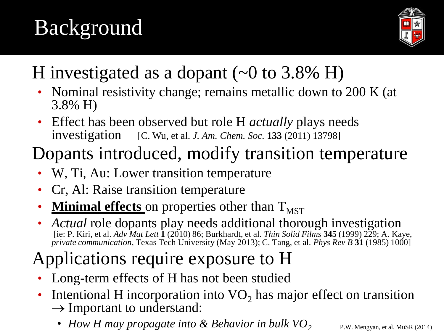# Background



### H investigated as a dopant  $(\sim 0$  to 3.8% H)

- Nominal resistivity change; remains metallic down to 200 K (at 3.8% H)
- Effect has been observed but role H *actually* plays needs investigation [C. Wu, et al. *J. Am. Chem. Soc.* **133** (2011) 13798]

### Dopants introduced, modify transition temperature

- W, Ti, Au: Lower transition temperature
- Cr, Al: Raise transition temperature
- **<u>Minimal effects</u>** on properties other than  $T<sub>MST</sub>$
- *Actual* role dopants play needs additional thorough investigation [ie: P. Kiri, et al. *Adv Mat Lett* **1** (2010) 86; Burkhardt, et al. *Thin Solid Films* **345** (1999) 229; A. Kaye, *private communication*, Texas Tech University (May 2013); C. Tang, et al. *Phys Rev B* **31** (1985) 1000]

### Applications require exposure to H

- Long-term effects of H has not been studied
- Intentional H incorporation into  $VO<sub>2</sub>$  has major effect on transition  $\rightarrow$  Important to understand:
	- *How H may propagate into & Behavior in bulk VO<sup>2</sup>*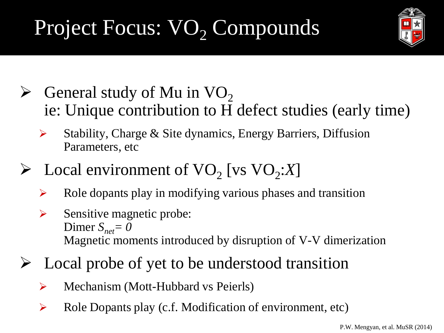# Project Focus: VO<sub>2</sub> Compounds



- $\triangleright$  General study of Mu in VO<sub>2</sub> ie: Unique contribution to H defect studies (early time)
	- $\triangleright$  Stability, Charge & Site dynamics, Energy Barriers, Diffusion Parameters, etc
- $\triangleright$  Local environment of VO<sub>2</sub> [vs VO<sub>2</sub>:*X*]
	- $\triangleright$  Role dopants play in modifying various phases and transition
	- $\triangleright$  Sensitive magnetic probe: Dimer  $S_{net} = 0$ Magnetic moments introduced by disruption of V-V dimerization
- $\triangleright$  Local probe of yet to be understood transition
	- Mechanism (Mott-Hubbard vs Peierls)
	- $\triangleright$  Role Dopants play (c.f. Modification of environment, etc)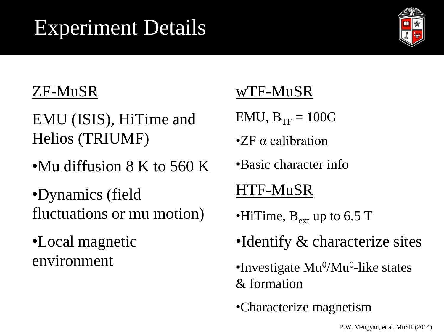## Experiment Details



### ZF-MuSR

EMU (ISIS), HiTime and Helios (TRIUMF)

•Mu diffusion 8 K to 560 K

•Dynamics (field fluctuations or mu motion)

•Local magnetic environment

### wTF-MuSR

- $EMU$ ,  $B_{TF} = 100G$
- •ZF α calibration
- •Basic character info

### HTF-MuSR

- •HiTime,  $B_{\text{ext}}$  up to 6.5 T
- •Identify & characterize sites
- •Investigate Mu<sup>0</sup>/Mu<sup>0</sup>-like states & formation
- •Characterize magnetism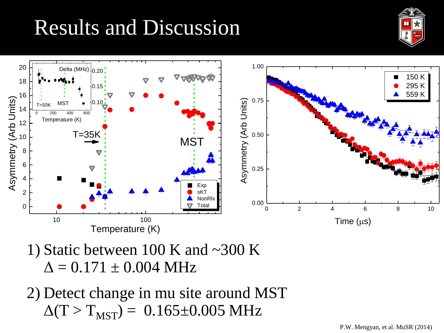## Results and Discussion





- 1) Static between 100 K and  $\sim$ 300 K  $\Delta = 0.171 \pm 0.004 \text{ MHz}$
- 2) Detect change in mu site around MST  $\Delta(T > T_{MST}) = 0.165 \pm 0.005 \text{ MHz}$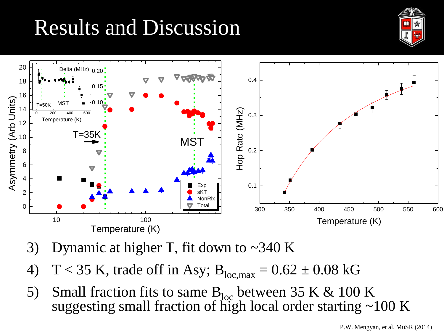# Results and Discussion





- 3) Dynamic at higher T, fit down to  $\sim$ 340 K
- 4) T < 35 K, trade off in Asy;  $B_{loc,max} = 0.62 \pm 0.08$  kG
- 5) Small fraction fits to same  $B_{\text{loc}}$  between 35 K & 100 K suggesting small fraction of high local order starting ~100 K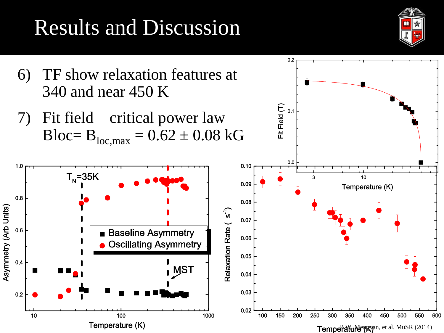# Results and Discussion



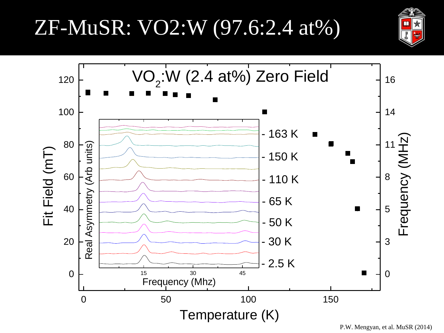### ZF-MuSR: VO2:W (97.6:2.4 at%)



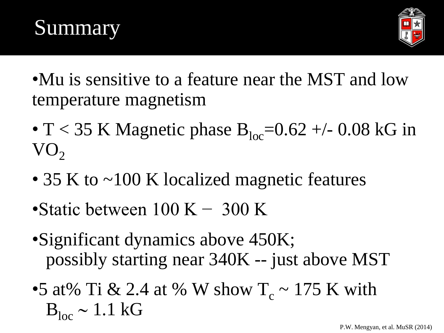



- •Mu is sensitive to a feature near the MST and low temperature magnetism
- T < 35 K Magnetic phase  $B_{loc}=0.62 +1$  0.08 kG in  $VO<sub>2</sub>$
- 35 K to ~100 K localized magnetic features
- Static between  $100 K 300 K$
- •Significant dynamics above 450K; possibly starting near 340K -- just above MST
- •5 at% Ti & 2.4 at % W show  $T_c \sim 175$  K with  $B_{loc} \sim 1.1$  kG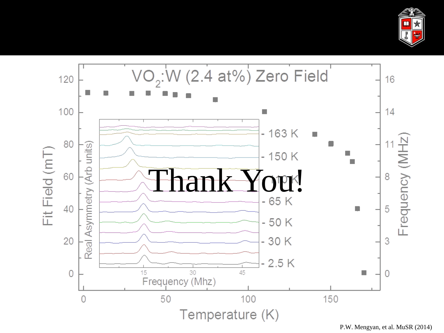

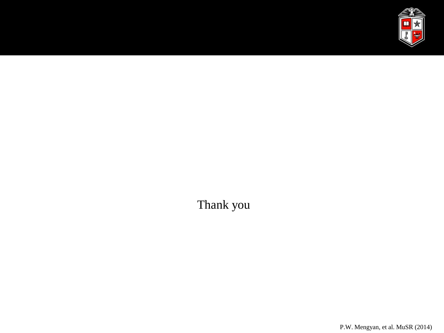

Thank you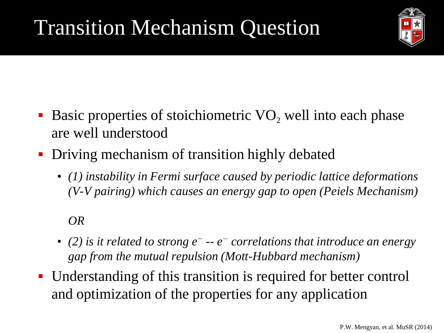

- Basic properties of stoichiometric  $VO$ , well into each phase are well understood
- Driving mechanism of transition highly debated
	- *(1) instability in Fermi surface caused by periodic lattice deformations (V-V pairing) which causes an energy gap to open (Peiels Mechanism)*

#### *OR*

- *(2) is it related to strong e<sup>−</sup> -- e <sup>−</sup> correlations that introduce an energy gap from the mutual repulsion (Mott-Hubbard mechanism)*
- Understanding of this transition is required for better control and optimization of the properties for any application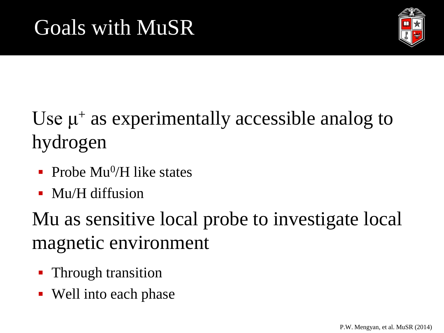

### Use  $\mu^+$  as experimentally accessible analog to hydrogen

- Probe  $Mu^0/H$  like states
- Mu/H diffusion

Mu as sensitive local probe to investigate local magnetic environment

- Through transition
- Well into each phase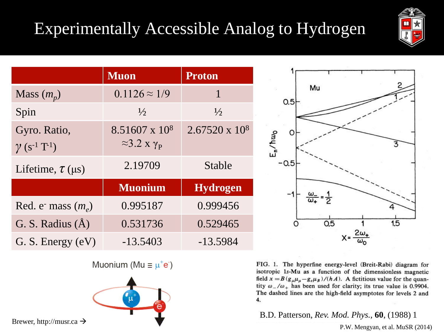### Experimentally Accessible Analog to Hydrogen



|                                                             | <b>Muon</b>                                                   | <b>Proton</b>         |
|-------------------------------------------------------------|---------------------------------------------------------------|-----------------------|
| Mass $(m_p)$                                                | $0.1126 \approx 1/9$                                          | 1                     |
| Spin                                                        | $\frac{1}{2}$                                                 | $\frac{1}{2}$         |
| Gyro. Ratio,<br>$\gamma$ (s <sup>-1</sup> T <sup>-1</sup> ) | 8.51607 x 10 <sup>8</sup><br>$\approx$ 3.2 x $\gamma_{\rm p}$ | $2.67520 \times 10^8$ |
| Lifetime, $\tau$ ( $\mu$ s)                                 | 2.19709                                                       | Stable                |
|                                                             | <b>Muonium</b>                                                | <b>Hydrogen</b>       |
| Red. e <sup>-</sup> mass $(m_e)$                            | 0.995187                                                      | 0.999456              |
| G. S. Radius $(\AA)$                                        | 0.531736                                                      | 0.529465              |
| G. S. Energy (eV)                                           | $-13.5403$                                                    | $-13.5984$            |



Muonium (Mu  $\equiv \mu^+e^-$ )



FIG. 1. The hyperfine energy-level (Breit-Rabi) diagram for isotropic 1s-Mu as a function of the dimensionless magnetic field  $x = B(g_{\mu}\mu_{\mu} - g_{e}\mu_{B})/(hA)$ . A fictitious value for the quantity  $\omega_-/\omega_+$  has been used for clarity; its true value is 0.9904. The dashed lines are the high-field asymptotes for levels 2 and 4.

B.D. Patterson, *Rev. Mod. Phys.*, **60**, (1988) 1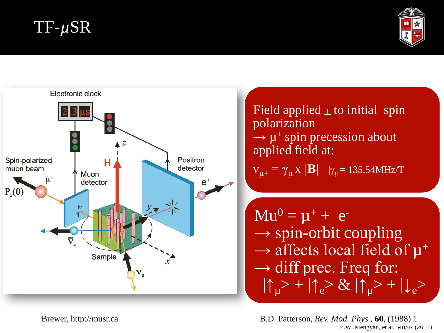### TF-*µ*SR





P.W. Mengyan, et al. MuSR (2014) Brewer, http://musr.ca B.D. Patterson, *Rev. Mod. Phys.*, **60**, (1988) 1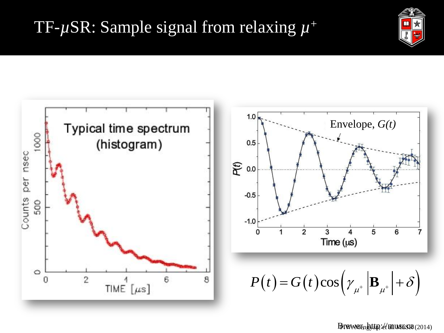### TF-*µ*SR: Sample signal from relaxing *µ* +





#### Brewer, http://musr.ca(2014)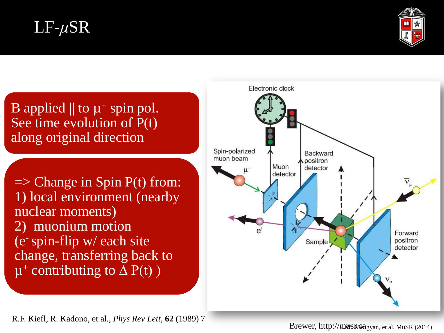### LF-*μ*SR



B applied  $\parallel$  to  $\mu^+$  spin pol. See time evolution of P(t) along original direction

 $\Rightarrow$  Change in Spin P(t) from: 1) local environment (nearby nuclear moments) 2) muonium motion (e-spin-flip w/ each site change, transferring back to  $\mu^+$  contributing to  $\overline{\Delta}$  P(t))



R.F. Kiefl, R. Kadono, et al., *Phys Rev Lett,* **62** (1989) 7

Brewer, http://**prwsr.ca**gyan, et al. MuSR (2014)